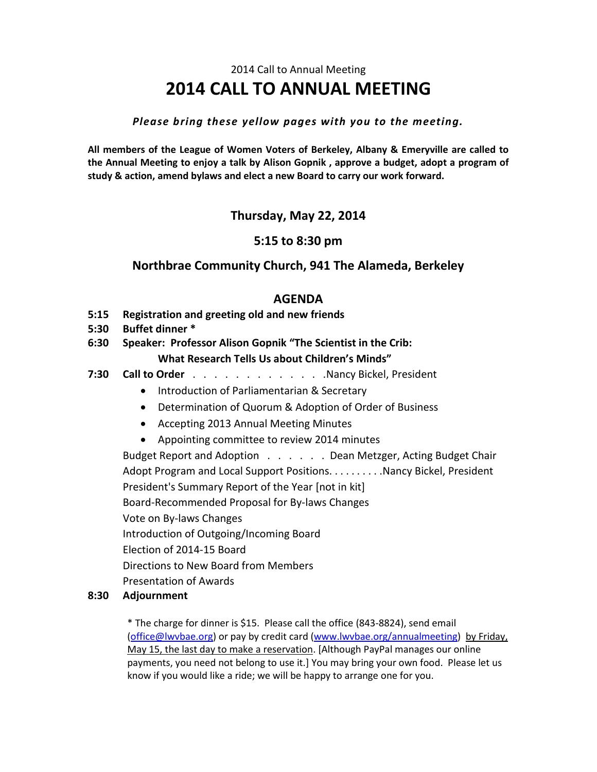## 2014 Call to Annual Meeting **2014 CALL TO ANNUAL MEETING**

#### *Please bring these yellow pages with you to the meeting.*

**All members of the League of Women Voters of Berkeley, Albany & Emeryville are called to the Annual Meeting to enjoy a talk by Alison Gopnik , approve a budget, adopt a program of study & action, amend bylaws and elect a new Board to carry our work forward.** 

## **Thursday, May 22, 2014**

## **5:15 to 8:30 pm**

## **Northbrae Community Church, 941 The Alameda, Berkeley**

## **AGENDA**

- **5:15 Registration and greeting old and new friends**
- **5:30 Buffet dinner \***
- **6:30 Speaker: Professor Alison Gopnik "The Scientist in the Crib: What Research Tells Us about Children's Minds"**
- **7:30 Call to Order** . . . . . . . . . . . . .Nancy Bickel, President
	- **•** Introduction of Parliamentarian & Secretary
	- Determination of Quorum & Adoption of Order of Business
	- Accepting 2013 Annual Meeting Minutes
	- Appointing committee to review 2014 minutes

Budget Report and Adoption . . . . . . Dean Metzger, Acting Budget Chair Adopt Program and Local Support Positions. . . . . . . . . Nancy Bickel, President President's Summary Report of the Year [not in kit] Board-Recommended Proposal for By-laws Changes Vote on By-laws Changes Introduction of Outgoing/Incoming Board Election of 2014-15 Board Directions to New Board from Members Presentation of Awards

#### **8:30 Adjournment**

\* The charge for dinner is \$15. Please call the office (843-8824), send email [\(office@lwvbae.org\)](mailto:office@lwvbae.org) or pay by credit card [\(www.lwvbae.org/annualmeeting\)](http://www.lwvbae.org/annualmeeting) by Friday, May 15, the last day to make a reservation. [Although PayPal manages our online payments, you need not belong to use it.] You may bring your own food. Please let us know if you would like a ride; we will be happy to arrange one for you.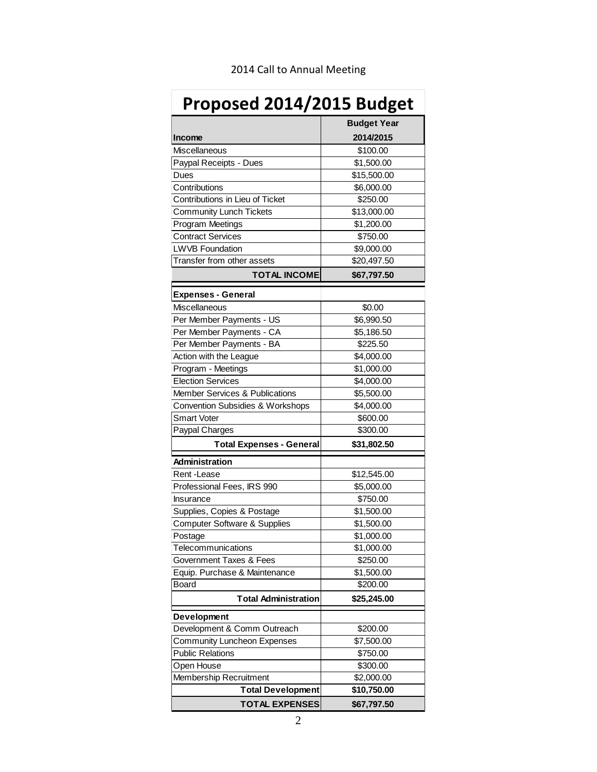| Proposed 2014/2015 Budget                   |                      |
|---------------------------------------------|----------------------|
|                                             | <b>Budget Year</b>   |
| <b>Income</b>                               | 2014/2015            |
| Miscellaneous                               | \$100.00             |
| Paypal Receipts - Dues                      | \$1,500.00           |
| Dues                                        | \$15,500.00          |
| Contributions                               | \$6,000.00           |
| Contributions in Lieu of Ticket             | \$250.00             |
| <b>Community Lunch Tickets</b>              | \$13,000.00          |
| Program Meetings                            | \$1,200.00           |
| <b>Contract Services</b>                    | \$750.00             |
| <b>LWVB Foundation</b>                      | \$9,000.00           |
| Transfer from other assets                  | \$20,497.50          |
| <b>TOTAL INCOME</b>                         |                      |
|                                             | \$67,797.50          |
| <b>Expenses - General</b>                   |                      |
| Miscellaneous                               | \$0.00               |
| Per Member Payments - US                    | \$6,990.50           |
| Per Member Payments - CA                    | \$5,186.50           |
| Per Member Payments - BA                    | \$225.50             |
| Action with the League                      | \$4,000.00           |
| Program - Meetings                          | \$1,000.00           |
| <b>Election Services</b>                    | \$4,000.00           |
| <b>Member Services &amp; Publications</b>   | \$5,500.00           |
| <b>Convention Subsidies &amp; Workshops</b> | \$4,000.00           |
| <b>Smart Voter</b>                          | \$600.00             |
| Paypal Charges                              | \$300.00             |
| <b>Total Expenses - General</b>             | \$31,802.50          |
| <b>Administration</b>                       |                      |
| Rent-Lease                                  | \$12,545.00          |
| Professional Fees, IRS 990                  | \$5,000.00           |
| Insurance                                   | \$750.00             |
| Supplies, Copies & Postage                  | \$1,500.00           |
| <b>Computer Software &amp; Supplies</b>     | \$1,500.00           |
| Postage                                     | \$1,000.00           |
| Telecommunications                          | \$1,000.00           |
| Government Taxes & Fees                     | \$250.00             |
| Equip. Purchase & Maintenance               | \$1,500.00           |
| Board                                       | $\overline{$}200.00$ |
| <b>Total Administration</b>                 | \$25,245.00          |
| <b>Development</b>                          |                      |
| Development & Comm Outreach                 | \$200.00             |
| <b>Community Luncheon Expenses</b>          | \$7,500.00           |
| <b>Public Relations</b>                     | \$750.00             |
| Open House                                  | \$300.00             |
| Membership Recruitment                      | \$2,000.00           |
| <b>Total Development</b>                    | \$10,750.00          |
| <b>TOTAL EXPENSES</b>                       | \$67,797.50          |

## 2014 Call to Annual Meeting

r.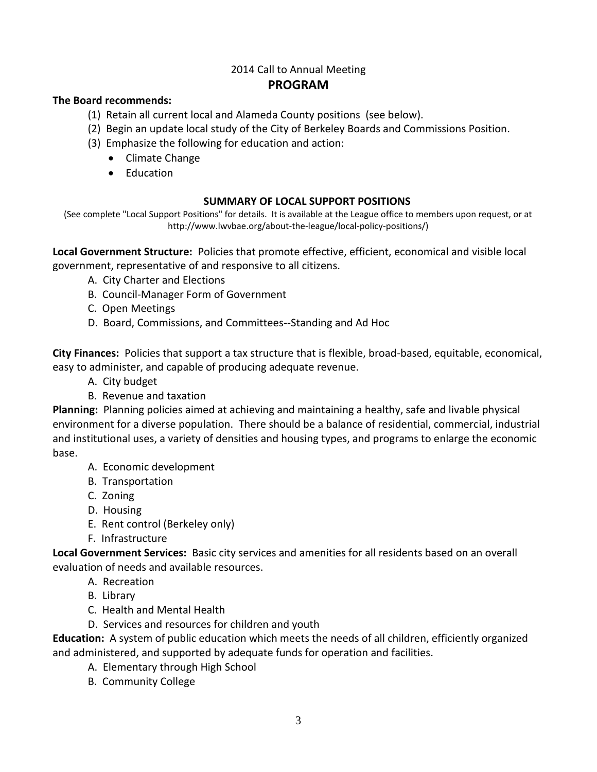## 2014 Call to Annual Meeting **PROGRAM**

## **The Board recommends:**

- (1) Retain all current local and Alameda County positions (see below).
- (2) Begin an update local study of the City of Berkeley Boards and Commissions Position.
- (3) Emphasize the following for education and action:
	- Climate Change
	- Education

### **SUMMARY OF LOCAL SUPPORT POSITIONS**

(See complete "Local Support Positions" for details. It is available at the League office to members upon request, or at http://www.lwvbae.org/about-the-league/local-policy-positions/)

**Local Government Structure:** Policies that promote effective, efficient, economical and visible local government, representative of and responsive to all citizens.

- A. City Charter and Elections
- B. Council-Manager Form of Government
- C. Open Meetings
- D. Board, Commissions, and Committees--Standing and Ad Hoc

**City Finances:** Policies that support a tax structure that is flexible, broad-based, equitable, economical, easy to administer, and capable of producing adequate revenue.

- A. City budget
- B. Revenue and taxation

**Planning:** Planning policies aimed at achieving and maintaining a healthy, safe and livable physical environment for a diverse population. There should be a balance of residential, commercial, industrial and institutional uses, a variety of densities and housing types, and programs to enlarge the economic base.

- A. Economic development
- B. Transportation
- C. Zoning
- D. Housing
- E. Rent control (Berkeley only)
- F. Infrastructure

**Local Government Services:** Basic city services and amenities for all residents based on an overall evaluation of needs and available resources.

- A. Recreation
- B. Library
- C. Health and Mental Health
- D. Services and resources for children and youth

**Education:** A system of public education which meets the needs of all children, efficiently organized and administered, and supported by adequate funds for operation and facilities.

- A. Elementary through High School
- B. Community College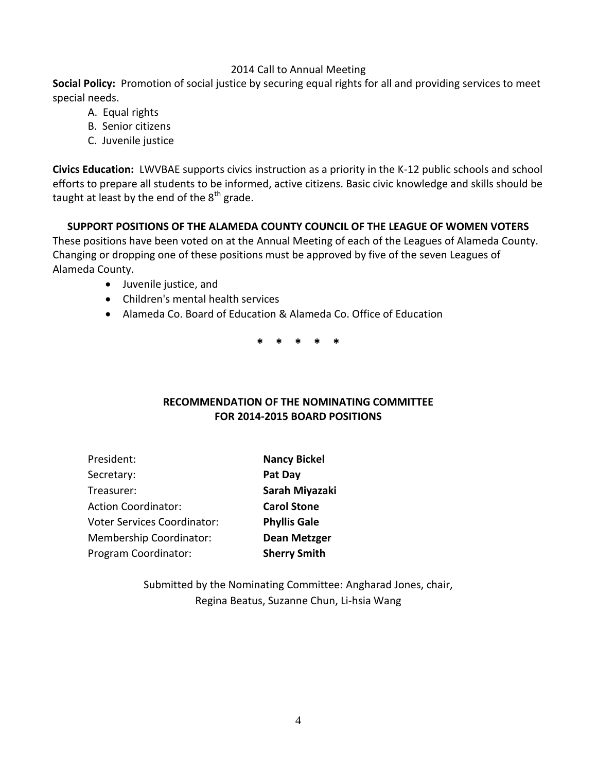## 2014 Call to Annual Meeting

**Social Policy:** Promotion of social justice by securing equal rights for all and providing services to meet special needs.

- A. Equal rights
- B. Senior citizens
- C. Juvenile justice

**Civics Education:** LWVBAE supports civics instruction as a priority in the K-12 public schools and school efforts to prepare all students to be informed, active citizens. Basic civic knowledge and skills should be taught at least by the end of the  $8<sup>th</sup>$  grade.

## **SUPPORT POSITIONS OF THE ALAMEDA COUNTY COUNCIL OF THE LEAGUE OF WOMEN VOTERS**

These positions have been voted on at the Annual Meeting of each of the Leagues of Alameda County. Changing or dropping one of these positions must be approved by five of the seven Leagues of Alameda County.

- Juvenile justice, and
- Children's mental health services
- Alameda Co. Board of Education & Alameda Co. Office of Education

**\* \* \* \* \***

## **RECOMMENDATION OF THE NOMINATING COMMITTEE FOR 2014-2015 BOARD POSITIONS**

| President:                         | <b>Nancy Bickel</b> |
|------------------------------------|---------------------|
| Secretary:                         | Pat Day             |
| Treasurer:                         | Sarah Miyazaki      |
| <b>Action Coordinator:</b>         | <b>Carol Stone</b>  |
| <b>Voter Services Coordinator:</b> | <b>Phyllis Gale</b> |
| <b>Membership Coordinator:</b>     | <b>Dean Metzger</b> |
| Program Coordinator:               | <b>Sherry Smith</b> |

Submitted by the Nominating Committee: Angharad Jones, chair, Regina Beatus, Suzanne Chun, Li-hsia Wang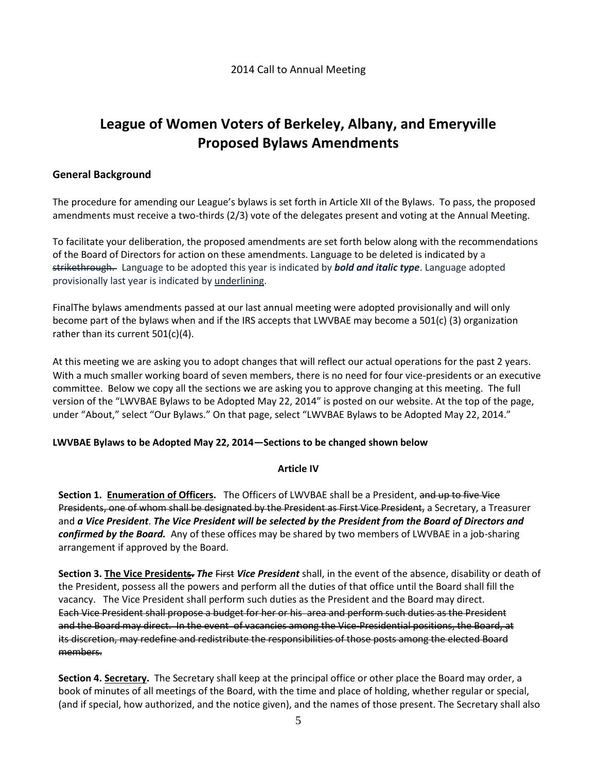# **League of Women Voters of Berkeley, Albany, and Emeryville Proposed Bylaws Amendments**

### **General Background**

The procedure for amending our League's bylaws is set forth in Article XII of the Bylaws. To pass, the proposed amendments must receive a two-thirds (2/3) vote of the delegates present and voting at the Annual Meeting.

To facilitate your deliberation, the proposed amendments are set forth below along with the recommendations of the Board of Directors for action on these amendments. Language to be deleted is indicated by a strikethrough. Language to be adopted this year is indicated by *bold and italic type*. Language adopted provisionally last year is indicated by underlining.

FinalThe bylaws amendments passed at our last annual meeting were adopted provisionally and will only become part of the bylaws when and if the IRS accepts that LWVBAE may become a 501(c) (3) organization rather than its current 501(c)(4).

At this meeting we are asking you to adopt changes that will reflect our actual operations for the past 2 years. With a much smaller working board of seven members, there is no need for four vice-presidents or an executive committee. Below we copy all the sections we are asking you to approve changing at this meeting. The full version of the "LWVBAE Bylaws to be Adopted May 22, 2014" is posted on our website. At the top of the page, under "About," select "Our Bylaws." On that page, select "LWVBAE Bylaws to be Adopted May 22, 2014."

#### **LWVBAE Bylaws to be Adopted May 22, 2014—Sections to be changed shown below**

#### **Article IV**

**Section 1. Enumeration of Officers.** The Officers of LWVBAE shall be a President, and up to five Vice Presidents, one of whom shall be designated by the President as First Vice President, a Secretary, a Treasurer and *a Vice President*. *The Vice President will be selected by the President from the Board of Directors and confirmed by the Board.* Any of these offices may be shared by two members of LWVBAE in a job-sharing arrangement if approved by the Board.

**Section 3. The Vice Presidents.** *The* First *Vice President* shall, in the event of the absence, disability or death of the President, possess all the powers and perform all the duties of that office until the Board shall fill the vacancy. The Vice President shall perform such duties as the President and the Board may direct. Each Vice President shall propose a budget for her or his area and perform such duties as the President and the Board may direct. In the event of vacancies among the Vice-Presidential positions, the Board, at its discretion, may redefine and redistribute the responsibilities of those posts among the elected Board members.

**Section 4. Secretary.** The Secretary shall keep at the principal office or other place the Board may order, a book of minutes of all meetings of the Board, with the time and place of holding, whether regular or special, (and if special, how authorized, and the notice given), and the names of those present. The Secretary shall also